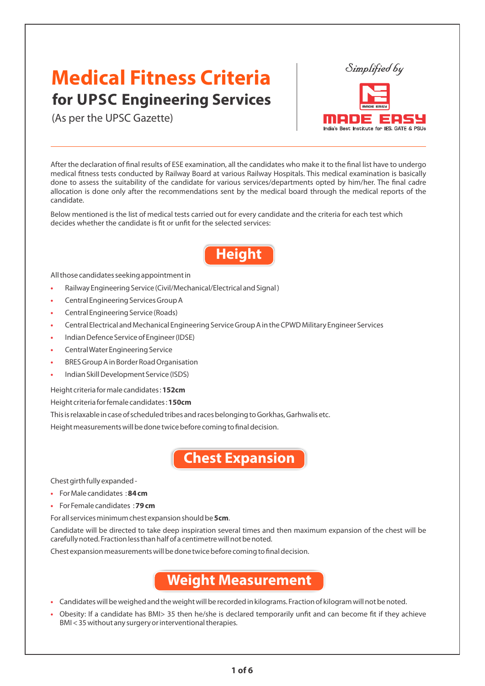# **Medical Fitness Criteria for UPSC Engineering Services**

(As per the UPSC Gazette)

After the declaration of final results of ESE examination, all the candidates who make it to the final list have to undergo medical fitness tests conducted by Railway Board at various Railway Hospitals. This medical examination is basically done to assess the suitability of the candidate for various services/departments opted by him/her. The final cadre allocation is done only after the recommendations sent by the medical board through the medical reports of the candidate.

Simplified by

India's Best Institute for IES, GATE & PSUs

395

en

Below mentioned is the list of medical tests carried out for every candidate and the criteria for each test which decides whether the candidate is fit or unfit for the selected services:

# **Height**

All those candidates seeking appointment in

- Railway Engineering Service (Civil/Mechanical/Electrical and Signal )
- Central Engineering Services Group A
- Central Engineering Service (Roads)
- Central Electrical and Mechanical Engineering Service Group A in the CPWD Military Engineer Services
- Indian Defence Service of Engineer (IDSE)
- Central Water Engineering Service
- BRES Group A in Border Road Organisation
- Indian Skill Development Service (ISDS)

Height criteria for male candidates : **152cm**

Height criteria for female candidates : **150cm** 

This is relaxable in case of scheduled tribes and races belonging to Gorkhas, Garhwalis etc.

Height measurements will be done twice before coming to final decision.

**Chest Expansion**

Chest girth fully expanded -

- For Male candidates : **84 cm**
- For Female candidates : **79 cm**

For all services minimum chest expansion should be **5cm**.

Candidate will be directed to take deep inspiration several times and then maximum expansion of the chest will be carefully noted. Fraction less than half of a centimetre will not be noted.

Chest expansion measurements will be done twice before coming to final decision.

### **Weight Measurement**

- Candidates will be weighed and the weight will be recorded in kilograms. Fraction of kilogram will not be noted.
- Obesity: If a candidate has BMI> 35 then he/she is declared temporarily unfit and can become fit if they achieve BMI < 35 without any surgery or interventional therapies.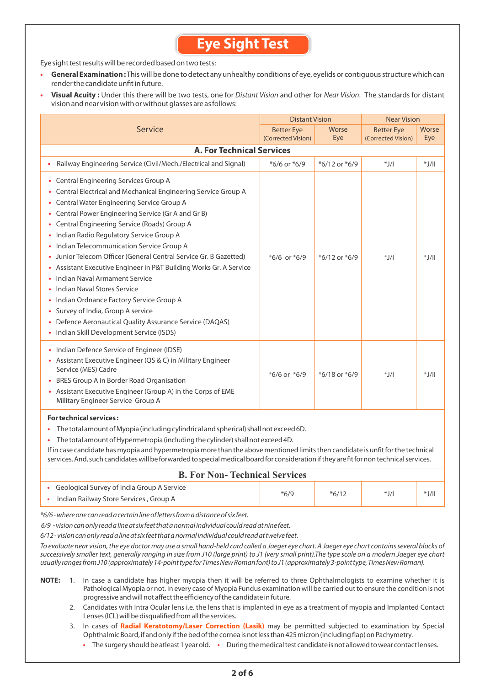### **Eye Sight Test**

Eye sight test results will be recorded based on two tests:

- **General Examination :**This will be done to detect any unhealthy conditions of eye, eyelids or contiguous structure which can render the candidate unfit in future.
- **Visual Acuity :** Under this there will be two tests, one for Distant Vision and other for Near Vision. The standards for distant vision and near vision with or without glasses are as follows:

|                                                                                                                                                                                                                                                                                                                                                                                                                                                                                                                                                                                                                                                                                                                                                                                  | <b>Distant Vision</b> |                   | <b>Near Vision</b> |                   |  |  |  |
|----------------------------------------------------------------------------------------------------------------------------------------------------------------------------------------------------------------------------------------------------------------------------------------------------------------------------------------------------------------------------------------------------------------------------------------------------------------------------------------------------------------------------------------------------------------------------------------------------------------------------------------------------------------------------------------------------------------------------------------------------------------------------------|-----------------------|-------------------|--------------------|-------------------|--|--|--|
| Service                                                                                                                                                                                                                                                                                                                                                                                                                                                                                                                                                                                                                                                                                                                                                                          | <b>Better Eye</b>     | Worse             | <b>Better Eye</b>  | Worse             |  |  |  |
|                                                                                                                                                                                                                                                                                                                                                                                                                                                                                                                                                                                                                                                                                                                                                                                  | (Corrected Vision)    | Eye               | (Corrected Vision) | Eye               |  |  |  |
| <b>A. For Technical Services</b>                                                                                                                                                                                                                                                                                                                                                                                                                                                                                                                                                                                                                                                                                                                                                 |                       |                   |                    |                   |  |  |  |
| Railway Engineering Service (Civil/Mech./Electrical and Signal)                                                                                                                                                                                                                                                                                                                                                                                                                                                                                                                                                                                                                                                                                                                  | *6/6 or *6/9          | *6/12 or *6/9     | $^*$ J/I           | $  \mathcal{L}^*$ |  |  |  |
| Central Engineering Services Group A<br>٠<br>Central Electrical and Mechanical Engineering Service Group A<br>٠<br>Central Water Engineering Service Group A<br>٠<br>Central Power Engineering Service (Gr A and Gr B)<br>Central Engineering Service (Roads) Group A<br>٠<br>Indian Radio Regulatory Service Group A<br>٠<br>Indian Telecommunication Service Group A<br>Junior Telecom Officer (General Central Service Gr. B Gazetted)<br>Assistant Executive Engineer in P&T Building Works Gr. A Service<br>٠<br>Indian Naval Armament Service<br>Indian Naval Stores Service<br>Indian Ordnance Factory Service Group A<br>Survey of India, Group A service<br>٠<br>Defence Aeronautical Quality Assurance Service (DAQAS)<br>Indian Skill Development Service (ISDS)<br>٠ | $*6/6$ or $*6/9$      | $*6/12$ or $*6/9$ | $^*$ J/I           | $*J/II$           |  |  |  |
| Indian Defence Service of Engineer (IDSE)<br>٠<br>Assistant Executive Engineer (QS & C) in Military Engineer<br>٠<br>Service (MES) Cadre<br>BRES Group A in Border Road Organisation<br>٠<br>• Assistant Executive Engineer (Group A) in the Corps of EME<br>Military Engineer Service Group A                                                                                                                                                                                                                                                                                                                                                                                                                                                                                   | $*6/6$ or $*6/9$      | $*6/18$ or $*6/9$ | $^*$ J/I           | $*J/II$           |  |  |  |

#### **For technical services :**

**•** The total amount of Myopia (including cylindrical and spherical) shall not exceed 6D.

**•** The total amount of Hypermetropia (including the cylinder) shall not exceed 4D.

If in case candidate has myopia and hypermetropia more than the above mentioned limits then candidate is unfit for the technical services. And, such candidates will be forwarded to special medical board for consideration if they are fit for non technical services.

| <b>B. For Non-Technical Services</b>                                                   |        |         |        |         |
|----------------------------------------------------------------------------------------|--------|---------|--------|---------|
| • Geological Survey of India Group A Service<br>Indian Railway Store Services, Group A | $*6/9$ | $*6/12$ | $*J/I$ | $*J/II$ |

\*6/6 - where one can read a certain line of letters from a distance of six feet.

6/9 - vision can only read a line at six feet that a normal individual could read at nine feet.

6/12 - vision can only read a line at six feet that a normal individual could read at twelve feet.

To evaluate near vision, the eye doctor may use a small hand-held card called a Jaeger eye chart. A Jaeger eye chart contains several blocks of successively smaller text, generally ranging in size from J10 (large print) to J1 (very small print).The type scale on a modern Jaeger eye chart usually ranges from J10 (approximately 14-point type for Times New Roman font) to J1 (approximately 3-point type, Times New Roman).

- **NOTE:** 1. In case a candidate has higher myopia then it will be referred to three Ophthalmologists to examine whether it is Pathological Myopia or not. In every case of Myopia Fundus examination will be carried out to ensure the condition is not progressive and will not affect the efficiency of the candidate in future.
	- 2. Candidates with Intra Ocular lens i.e. the lens that is implanted in eye as a treatment of myopia and Implanted Contact Lenses (ICL) will be disqualified from all the services.
	- 3. In cases of **Radial Keratotomy/Laser Correction (Lasik)** may be permitted subjected to examination by Special Ophthalmic Board, if and only if the bed of the cornea is not less than 425 micron (including flap) on Pachymetry.
		- The surgery should be atleast 1 year old. During the medical test candidate is not allowed to wear contact lenses.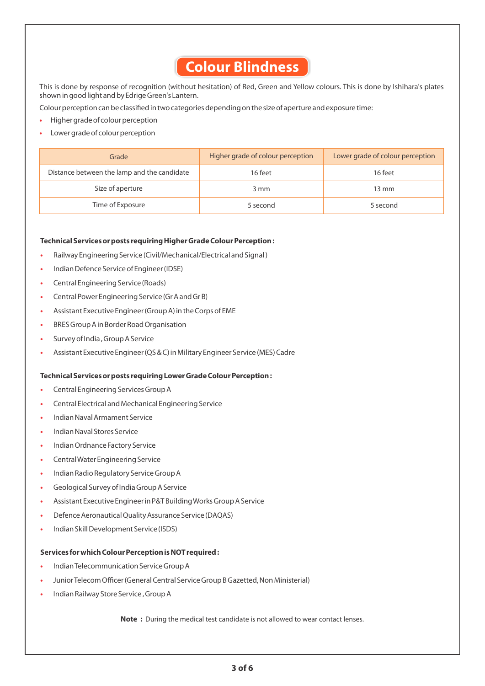# **Colour Blindness**

This is done by response of recognition (without hesitation) of Red, Green and Yellow colours. This is done by Ishihara's plates shown in good light and by Edrige Green's Lantern.

Colour perception can be classified in two categories depending on the size of aperture and exposure time:

- Higher grade of colour perception
- Lower grade of colour perception

| Grade                                       | Higher grade of colour perception | Lower grade of colour perception |
|---------------------------------------------|-----------------------------------|----------------------------------|
| Distance between the lamp and the candidate | 16 feet                           | 16 feet                          |
| Size of aperture                            | 3 mm                              | 13 mm                            |
| Time of Exposure                            | 5 second                          | 5 second                         |

#### **Technical Services or posts requiring Higher Grade Colour Perception :**

- Railway Engineering Service (Civil/Mechanical/Electrical and Signal )
- Indian Defence Service of Engineer (IDSE)
- Central Engineering Service (Roads)
- Central Power Engineering Service (Gr A and Gr B)
- Assistant Executive Engineer (Group A) in the Corps of EME
- BRES Group A in Border Road Organisation
- Survey of India , Group A Service
- Assistant Executive Engineer (QS & C) in Military Engineer Service (MES) Cadre

#### **Technical Services or posts requiring Lower Grade Colour Perception :**

- Central Engineering Services Group A
- Central Electrical and Mechanical Engineering Service
- Indian Naval Armament Service
- Indian Naval Stores Service
- Indian Ordnance Factory Service
- Central Water Engineering Service
- Indian Radio Regulatory Service Group A
- Geological Survey of India Group A Service
- Assistant Executive Engineer in P&T Building Works Group A Service
- Defence Aeronautical Quality Assurance Service (DAQAS)
- Indian Skill Development Service (ISDS)

#### **Services for which Colour Perception is NOT required :**

- Indian Telecommunication Service Group A
- Junior Telecom Officer (General Central Service Group B Gazetted, Non Ministerial)
- Indian Railway Store Service , Group A

**Note :** During the medical test candidate is not allowed to wear contact lenses.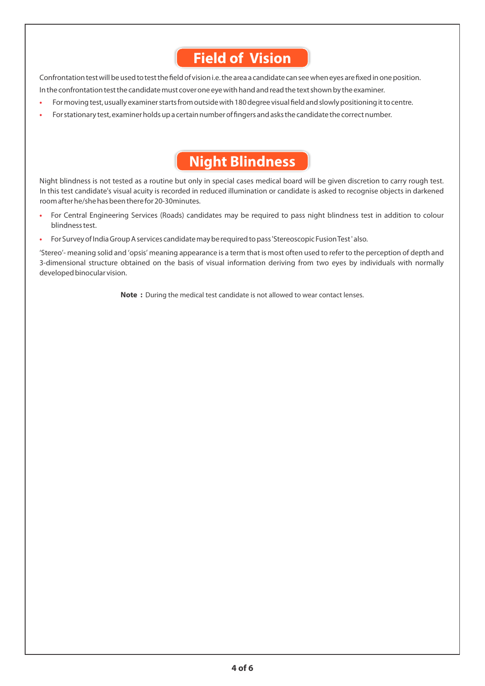## **Field of Vision**

Confrontation test will be used to test the field of vision i.e. the area a candidate can see when eyes are fixed in one position.

In the confrontation test the candidate must cover one eye with hand and read the text shown by the examiner.

- For moving test, usually examiner starts from outside with 180 degree visual field and slowly positioning it to centre.
- For stationary test, examiner holds up a certain number of fingers and asks the candidate the correct number.

## **Night Blindness**

Night blindness is not tested as a routine but only in special cases medical board will be given discretion to carry rough test. In this test candidate's visual acuity is recorded in reduced illumination or candidate is asked to recognise objects in darkened room after he/she has been there for 20-30minutes.

- For Central Engineering Services (Roads) candidates may be required to pass night blindness test in addition to colour blindness test.
- For Survey of India Group A services candidate may be required to pass 'Stereoscopic Fusion Test ' also.

'Stereo'- meaning solid and 'opsis' meaning appearance is a term that is most often used to refer to the perception of depth and 3-dimensional structure obtained on the basis of visual information deriving from two eyes by individuals with normally developed binocular vision.

**Note :** During the medical test candidate is not allowed to wear contact lenses.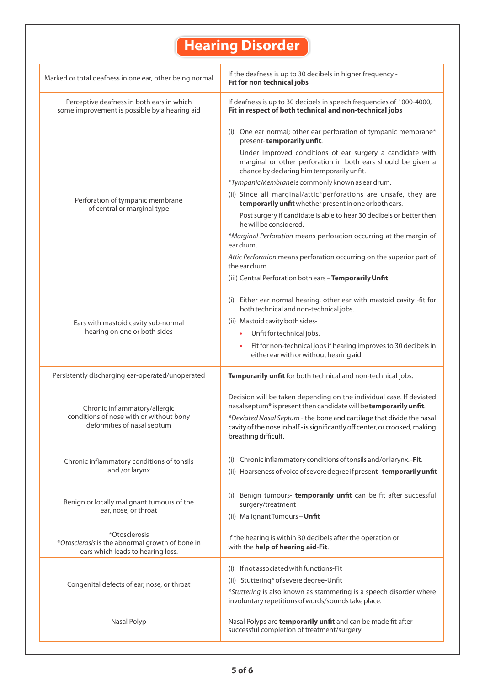# **Hearing Disorder**

| Marked or total deafness in one ear, other being normal                                               | If the deafness is up to 30 decibels in higher frequency -<br>Fit for non technical jobs                                                                                                                                   |
|-------------------------------------------------------------------------------------------------------|----------------------------------------------------------------------------------------------------------------------------------------------------------------------------------------------------------------------------|
| Perceptive deafness in both ears in which<br>some improvement is possible by a hearing aid            | If deafness is up to 30 decibels in speech frequencies of 1000-4000,<br>Fit in respect of both technical and non-technical jobs                                                                                            |
|                                                                                                       | (i) One ear normal; other ear perforation of tympanic membrane*<br>present-temporarily unfit.<br>Under improved conditions of ear surgery a candidate with<br>marginal or other perforation in both ears should be given a |
| Perforation of tympanic membrane<br>of central or marginal type                                       | chance by declaring him temporarily unfit.<br>*Tympanic Membrane is commonly known as ear drum.                                                                                                                            |
|                                                                                                       | (ii) Since all marginal/attic*perforations are unsafe, they are<br>temporarily unfit whether present in one or both ears.                                                                                                  |
|                                                                                                       | Post surgery if candidate is able to hear 30 decibels or better then<br>he will be considered.                                                                                                                             |
|                                                                                                       | *Marginal Perforation means perforation occurring at the margin of<br>ear drum.                                                                                                                                            |
|                                                                                                       | Attic Perforation means perforation occurring on the superior part of<br>the ear drum                                                                                                                                      |
|                                                                                                       | (iii) Central Perforation both ears - Temporarily Unfit                                                                                                                                                                    |
|                                                                                                       | (i) Either ear normal hearing, other ear with mastoid cavity -fit for<br>both technical and non-technical jobs.                                                                                                            |
| Ears with mastoid cavity sub-normal<br>hearing on one or both sides                                   | (ii) Mastoid cavity both sides-                                                                                                                                                                                            |
|                                                                                                       | Unfit for technical jobs.<br>٠                                                                                                                                                                                             |
|                                                                                                       | Fit for non-technical jobs if hearing improves to 30 decibels in<br>$\bullet$<br>either ear with or without hearing aid.                                                                                                   |
| Persistently discharging ear-operated/unoperated                                                      | Temporarily unfit for both technical and non-technical jobs.                                                                                                                                                               |
| Chronic inflammatory/allergic                                                                         | Decision will be taken depending on the individual case. If deviated<br>nasal septum* is present then candidate will be temporarily unfit.                                                                                 |
| conditions of nose with or without bony<br>deformities of nasal septum                                | *Deviated Nasal Septum - the bone and cartilage that divide the nasal<br>cavity of the nose in half-is significantly off center, or crooked, making<br>breathing difficult.                                                |
| Chronic inflammatory conditions of tonsils<br>and /or larynx                                          | Chronic inflammatory conditions of tonsils and/or larynx. - Fit.<br>(ii) Hoarseness of voice of severe degree if present - temporarily unfit                                                                               |
|                                                                                                       |                                                                                                                                                                                                                            |
| Benign or locally malignant tumours of the<br>ear, nose, or throat                                    | Benign tumours- temporarily unfit can be fit after successful<br>(i)<br>surgery/treatment                                                                                                                                  |
|                                                                                                       | (ii) Malignant Tumours - Unfit                                                                                                                                                                                             |
| *Otosclerosis<br>*Otosclerosis is the abnormal growth of bone in<br>ears which leads to hearing loss. | If the hearing is within 30 decibels after the operation or<br>with the help of hearing aid-Fit.                                                                                                                           |
| Congenital defects of ear, nose, or throat                                                            | If not associated with functions-Fit<br>$($  )                                                                                                                                                                             |
|                                                                                                       | (ii) Stuttering* of severe degree-Unfit                                                                                                                                                                                    |
|                                                                                                       | *Stuttering is also known as stammering is a speech disorder where<br>involuntary repetitions of words/sounds take place.                                                                                                  |
| Nasal Polyp                                                                                           | Nasal Polyps are temporarily unfit and can be made fit after<br>successful completion of treatment/surgery.                                                                                                                |